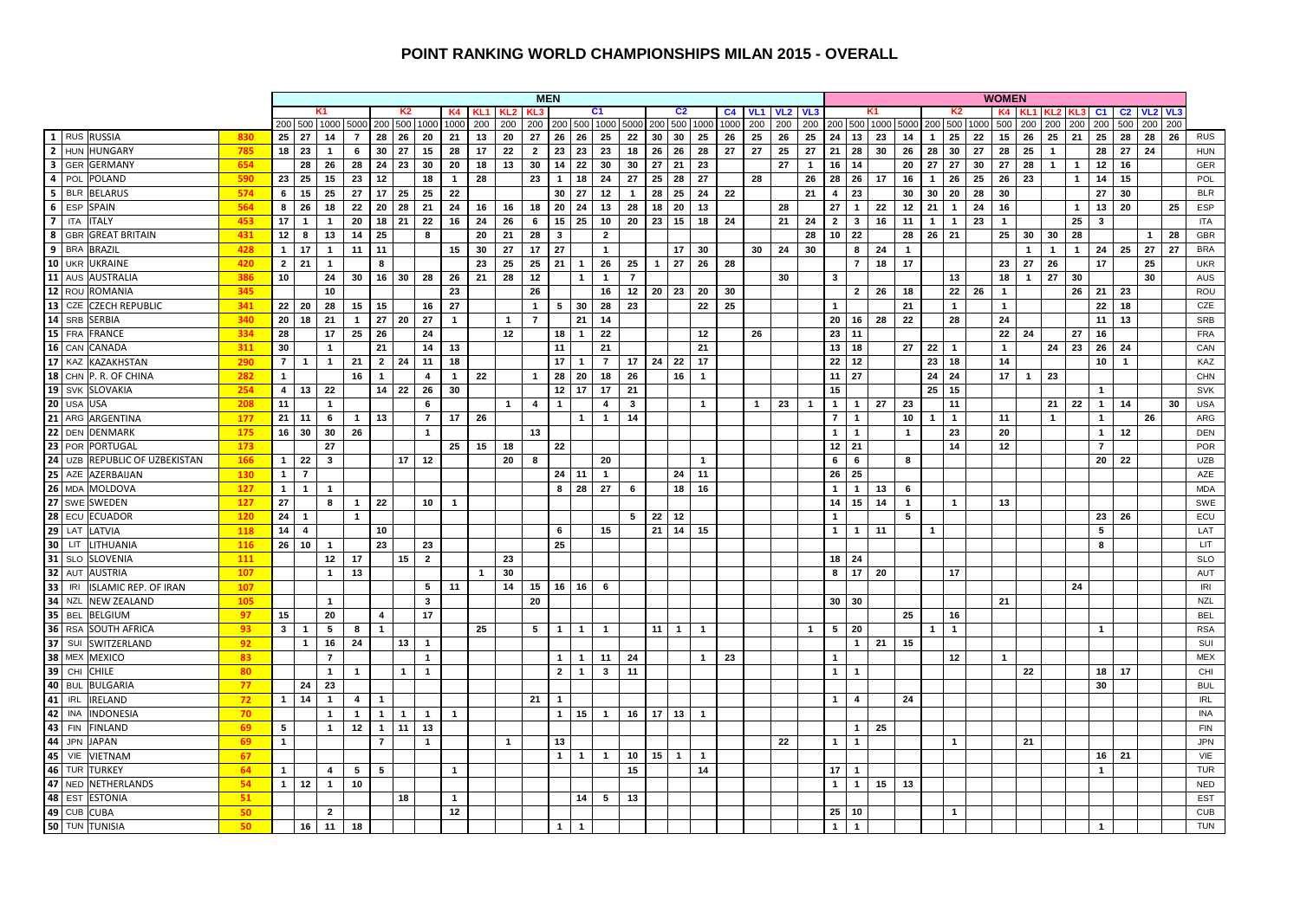#### **POINT RANKING WORLD CHAMPIONSHIPS MILAN 2015 - OVERALL**

|                                                    |            |                                |                                  |                   |                                |                     |                                  |                |              |                |                | <b>MEN</b>     |                    |                      |                    |              |                |                      |                |             |                                 |                |                                  |                              |                         |              |                |                      | <b>WOMEN</b>            |              |                |                |                              |                      |              |      |                   |
|----------------------------------------------------|------------|--------------------------------|----------------------------------|-------------------|--------------------------------|---------------------|----------------------------------|----------------|--------------|----------------|----------------|----------------|--------------------|----------------------|--------------------|--------------|----------------|----------------------|----------------|-------------|---------------------------------|----------------|----------------------------------|------------------------------|-------------------------|--------------|----------------|----------------------|-------------------------|--------------|----------------|----------------|------------------------------|----------------------|--------------|------|-------------------|
|                                                    |            |                                |                                  | K1                |                                |                     | К2                               | K4             |              | KL1 KL2        |                |                |                    | C <sub>1</sub>       |                    |              | C <sub>2</sub> |                      | C <sub>4</sub> | <b>VL1</b>  | VL <sub>2</sub> VL <sub>3</sub> |                |                                  |                              |                         |              |                | K <sub>2</sub>       |                         |              |                | KL2 KL:        | C <sub>1</sub>               | C <sub>2</sub>       |              | VL 3 |                   |
|                                                    |            |                                |                                  | 200 500 1000 5000 |                                | 200 500             | 1000                             | 1000           | 200          | 200            | 200            |                |                    |                      | 200 500 1000 5000  | 200          | 500            | 1000                 | 1000           | 200         | 200                             | 200            |                                  |                              | 200 500 1000 5000       |              | 200 500        |                      | 1000 500                | 200          | 200            | 200            | 200                          | 500                  | 200          | 200  |                   |
| $1$ RUS<br><b>RUSSIA</b>                           | 830        | 25                             | 27                               | 14                | $\overline{7}$                 | 28                  | 26<br>20                         | 21             | 13           | 20             | 27             | 26             | 26                 | 25                   | 22                 | 30           | 30             | 25                   | 26             | 25          | 26                              | 25             | 24                               | 13                           | 23<br>14                | $\mathbf{1}$ |                | 25<br>22             | 15                      | 26           | 25             | 21             | 25                           | 28                   | 28           | 26   | <b>RUS</b>        |
| 2 HUN HUNGARY                                      | 785        | 18                             | 23                               | $\mathbf{1}$      | 6                              | 30                  | 27<br>15                         | 28             | 17           | 22             | $\overline{2}$ | 23             | 23                 | 23                   | 18                 | 26           | 26             | 28                   | 27             | 27          | 25                              | 27             | 21                               | 28                           | 30<br>26                |              | 28             | 30<br>27             | 28                      | 25           | $\overline{1}$ |                | 28                           | 27                   | 24           |      | <b>HUN</b>        |
| 3 GER GERMANY                                      | 654        |                                | 28                               | 26                | 28                             | 24                  | 23<br>30                         | 20             | 18           | 13             | 30             | 14             | 22                 | 30                   | 30                 | 27           | 21             | 23                   |                |             | 27                              | $\overline{1}$ | 16                               | 14                           | 20                      |              | 27             | 27<br>30             | 27                      | 28           | $\overline{1}$ | $\overline{1}$ | 12                           | 16                   |              |      | <b>GER</b>        |
| 4 POL<br>POLAND                                    | 590        | 23                             | 25                               | 15                | 23                             | 12                  | 18                               | $\mathbf{1}$   | 28           |                | 23             | $\mathbf{1}$   | 18                 | 24                   | 27                 | 25           | 28             | 27                   |                | 28          |                                 | 26             | 28                               | 26                           | 17<br>16                | $\mathbf{1}$ |                | 26<br>25             | 26                      | 23           |                | $\mathbf{1}$   | 14                           | 15                   |              |      | POL               |
| 5 BLR BELARUS                                      | 574        | 6                              | 15                               | 25                | 27                             | 17                  | 25<br>25                         | 22             |              |                |                | 30             | 27                 | 12                   | $\mathbf{1}$       | 28           | 25             | 24                   | 22             |             |                                 | 21             | 4                                | 23                           | 30                      |              | 30             | 20<br>28             | 30                      |              |                |                | 27<br>13                     | 30                   |              |      | <b>BLR</b>        |
| 6 ESP<br>SPAIN                                     | 564        | 8                              | 26                               | 18                | 22                             | 20 <sub>1</sub>     | 28<br>21                         | 24             | 16           | 16             | 18             | 20             | 24                 | 13                   | 28                 | 18           | 20             | 13                   |                |             | 28                              |                | 27                               | $\mathbf{1}$                 | 22<br>12                |              | 21             | 24<br>$\overline{1}$ | 16                      |              |                | $\mathbf{1}$   |                              | 20                   |              | 25   | ESP               |
| 7 <sup>1</sup><br><b>ITA</b><br><b>ITALY</b>       | 453        | 17                             | $\overline{1}$                   | $\mathbf{1}$      | 20                             | 18                  | 21<br>22                         | 16             | 24           | 26             | 6              | 15             | 25                 | 10                   | 20                 | 23           | 15             | 18                   | 24             |             | 21                              | 24             | $\overline{2}$                   | $\mathbf{3}$                 | 16<br>11                | $\mathbf{1}$ |                | $\mathbf{1}$<br>23   | $\overline{1}$          |              |                | 25             | $\overline{\mathbf{3}}$      |                      |              |      | <b>ITA</b>        |
| 8 GBR<br><b>GREAT BRITAIN</b>                      | 431        | 12                             | 8                                | 13                | 14                             | 25                  | 8                                |                | 20           | 21             | 28             | 3              |                    | $\overline{2}$       |                    |              |                |                      |                |             |                                 | 28             | 10                               | 22                           | 28                      |              | $26$ 21        |                      | 25                      | 30           | 30             | 28             |                              |                      | $\mathbf{1}$ | 28   | GBR               |
| 9 BRA<br><b>BRAZIL</b>                             | 428        |                                | $1 \mid 17$                      | $\mathbf{1}$      | 11                             | 11                  |                                  | 15             | 30           | 27             | 17             | 27             |                    | $\mathbf{1}$         |                    |              | 17             | 30                   |                | 30          | 24                              | 30             |                                  | 8                            | 24<br>$\mathbf{1}$      |              |                |                      |                         | $\mathbf{1}$ | $\overline{1}$ | $\overline{1}$ | 24                           | 25                   | 27           | 27   | <b>BRA</b>        |
| <b>10 UKR</b><br><b>UKRAINE</b>                    | 420        |                                | $2 \mid 21$                      | $\mathbf{1}$      |                                | 8                   |                                  |                | 23           | 25             | 25             | 21             | $\overline{1}$     | 26                   | 25                 | $\mathbf{1}$ | 27             | 26                   | 28             |             |                                 |                |                                  | $\overline{7}$               | 18<br>17                |              |                |                      | 23                      | 27           | 26             |                | 17                           |                      | 25           |      | <b>UKR</b>        |
| 11 AUS AUSTRALIA                                   | 386        | 10                             |                                  | 24                | 30                             |                     | $16$ 30<br>28                    | 26             | 21           | 28             | 12             |                | $\mathbf{1}$       | $\mathbf{1}$         | $\overline{7}$     |              |                |                      |                |             | 30                              |                | $\mathbf{3}$                     |                              |                         |              |                | 13                   | 18                      | $\mathbf{1}$ | 27             | 30             |                              |                      | 30           |      | <b>AUS</b>        |
| $12$ ROU<br><b>ROMANIA</b>                         | 345        |                                |                                  | 10                |                                |                     |                                  | 23             |              |                | 26             |                |                    | 16                   | 12                 |              | 20 23          | -20                  | 30             |             |                                 |                |                                  | $\overline{2}$               | 26<br>18                |              |                | 22<br>26             | $\overline{\mathbf{1}}$ |              |                | 26             | 21                           | 23                   |              |      | ROU               |
| $13$ CZE<br><b>CZECH REPUBLIC</b>                  | 341        | 22                             | - 20                             | 28                | 15                             | 15                  | 16                               | 27             |              |                | $\mathbf{1}$   | 5              | 30                 | 28                   | 23                 |              |                | 22                   | 25             |             |                                 |                | $\mathbf{1}$                     |                              | 21                      |              |                | $\mathbf{1}$         | $\overline{1}$          |              |                |                | 22                           | 18                   |              |      | CZE               |
| 14 SRB<br><b>SERBIA</b>                            | 340        | 20                             | 18                               | 21                | $\mathbf{1}$                   | 27                  | 27<br>20                         | $\mathbf{1}$   |              | $\overline{1}$ | $\overline{7}$ |                | 21                 | 14                   |                    |              |                |                      |                |             |                                 |                | 20                               | 16                           | 22<br>28                |              |                | 28                   | 24                      |              |                |                | 11                           | 13                   |              |      | SRB               |
| 15 FRA<br><b>FRANCE</b>                            | 334        | 28                             |                                  | 17                | 25                             | 26                  | 24                               |                |              | 12             |                | 18             | $\overline{1}$     | 22                   |                    |              |                | 12                   |                | 26          |                                 |                | 23                               | 11                           |                         |              |                |                      | 22<br>$\overline{1}$    | 24           |                | 27             | 16                           |                      |              |      | FRA               |
| <b>16 CAN</b><br><b>CANADA</b><br><b>17 KAZ</b>    | 311        | 30                             |                                  | $\mathbf{1}$      |                                | 21                  | 14                               | 13             |              |                |                | 11             |                    | 21                   |                    |              |                | 21                   |                |             |                                 |                | 13                               | 18                           | 27                      |              | $22$ 1         |                      |                         |              | 24             | 23             | 26                           | 24<br>$\overline{1}$ |              |      | CAN<br>KAZ        |
| KAZAKHSTAN<br>18 CHN P. R. OF CHINA                | 290<br>282 | $\overline{7}$<br>$\mathbf{1}$ | $\mathbf{1}$                     | $\mathbf{1}$      | 21<br>16                       | $\overline{2}$<br>1 | 11<br>24<br>$\overline{4}$       | 18             | 22           |                | $\overline{1}$ | 17<br>28       | $\mathbf{1}$<br>20 | $\overline{7}$<br>18 | 17<br>26           | 24           | 22<br>16       | 17<br>$\overline{1}$ |                |             |                                 |                | 22<br>11                         | 12<br>27                     |                         |              | 23<br>24 24    | 18                   | 14<br>17                |              | 23             |                | 10 <sup>1</sup>              |                      |              |      | <b>CHN</b>        |
|                                                    |            |                                |                                  |                   |                                |                     |                                  | $\mathbf{1}$   |              |                |                |                |                    |                      |                    |              |                |                      |                |             |                                 |                |                                  |                              |                         |              |                |                      |                         | $\mathbf{1}$ |                |                |                              |                      |              |      |                   |
| <b>19 SVK</b><br>SLOVAKIA                          | 254        | 4 <sup>1</sup>                 | 13                               | 22                |                                | 14                  | 22<br>26                         | 30             |              |                |                | 12             | 17                 | 17                   | 21                 |              |                |                      |                |             |                                 |                | 15                               |                              |                         |              | 25 15          |                      |                         |              |                |                | $\mathbf{1}$                 |                      |              |      | SVK               |
| <b>20 USA</b><br><b>USA</b>                        | 208        | 11                             |                                  | $\mathbf{1}$      |                                |                     | 6                                |                |              | $\mathbf{1}$   | 4              | $\mathbf{1}$   |                    | 4                    | $\mathbf{3}$<br>14 |              |                | $\mathbf{1}$         |                | $\mathbf 1$ | 23                              | $\overline{1}$ | $\mathbf{1}$                     | $\mathbf{1}$                 | 27<br>23                |              |                | 11                   |                         |              | $21 \mid$      | 22             | $\mathbf{1}$                 | 14                   |              | 30   | <b>USA</b>        |
| 21 ARG ARGENTINA<br>22 DEN DENMARK                 | 177        |                                | $21$ 11<br>$16 \mid 30$          | 6<br>30           | $\mathbf{1}$<br>26             | 13                  | $\overline{7}$<br>$\overline{1}$ | 17             | - 26         |                | 13             |                | $\mathbf{1}$       | $\overline{1}$       |                    |              |                |                      |                |             |                                 |                | $\overline{7}$<br>$\overline{1}$ | $\mathbf{1}$<br>$\mathbf{1}$ | 10                      |              | 1 <sup>1</sup> | $\overline{1}$<br>23 | 11<br>20                |              | $\overline{1}$ |                | $\mathbf{1}$<br>$\mathbf{1}$ | 12                   | 26           |      | ARG<br><b>DEN</b> |
|                                                    | 175        |                                |                                  |                   |                                |                     |                                  |                |              |                |                |                |                    |                      |                    |              |                |                      |                |             |                                 |                |                                  |                              | $\mathbf{1}$            |              |                |                      |                         |              |                |                | $\overline{7}$               |                      |              |      | <b>POR</b>        |
| $23$ POR<br>PORTUGAL<br>$24$ UZB                   | 173        |                                |                                  | 27                |                                |                     |                                  | 25             | 15           | 18             |                | 22             |                    |                      |                    |              |                |                      |                |             |                                 |                | 12<br>6                          | 21                           |                         |              |                | 14                   | 12                      |              |                |                |                              |                      |              |      |                   |
| REPUBLIC OF UZBEKISTAN<br>$25$ AZE                 | 166        |                                | $1 \mid 22$                      | $\mathbf{3}$      |                                |                     | $17$ 12                          |                |              | 20             | 8              |                |                    | 20                   |                    |              |                | $\overline{1}$       |                |             |                                 |                |                                  | 6                            | 8                       |              |                |                      |                         |              |                |                | 20                           | 22                   |              |      | <b>UZB</b>        |
| AZERBAIJAN                                         | 130<br>127 | $\mathbf 1$                    | $\overline{7}$<br>$\overline{1}$ |                   |                                |                     |                                  |                |              |                |                | 8              | $24$ 11            | $\overline{1}$       |                    |              | 24             | 11<br>16             |                |             |                                 |                | 26<br>$\mathbf{1}$               | 25                           |                         |              |                |                      |                         |              |                |                |                              |                      |              |      | AZE<br><b>MDA</b> |
| 26 MDA MOLDOVA<br>27 SWE SWEDEN                    | 127        | $1 \mid$                       |                                  | $\mathbf{1}$      |                                |                     |                                  |                |              |                |                |                | 28                 | 27                   | 6                  |              | 18             |                      |                |             |                                 |                |                                  | $\mathbf{1}$                 | 13<br>6                 |              |                |                      |                         |              |                |                |                              |                      |              |      |                   |
|                                                    |            | 27                             |                                  | 8                 | $\mathbf{1}$<br>$\overline{1}$ | 22                  | 10 <sup>1</sup>                  | $\overline{1}$ |              |                |                |                |                    |                      |                    |              |                |                      |                |             |                                 |                | 14<br>$\overline{1}$             | 15                           | 14<br>$\mathbf{1}$<br>5 |              |                | $\mathbf{1}$         | 13                      |              |                |                | 23                           | 26                   |              |      | SWE<br>ECU        |
| <b>28 ECU</b><br><b>ECUADOR</b><br><b>29 LAT</b>   | 120        | 24                             | $\overline{1}$                   |                   |                                |                     |                                  |                |              |                |                |                |                    |                      | 5                  | 22           | 12             |                      |                |             |                                 |                | $\mathbf{1}$                     |                              |                         |              |                |                      |                         |              |                |                |                              |                      |              |      | LAT               |
| LATVIA<br>$30$ LIT                                 | 118<br>116 | 14                             | $\overline{\mathbf{4}}$          | $\mathbf{1}$      |                                | 10<br>23            |                                  |                |              |                |                | 6<br>25        |                    | 15                   |                    |              | $21$ 14        | 15                   |                |             |                                 |                |                                  | $\mathbf{1}$<br>11           |                         | $\mathbf{1}$ |                |                      |                         |              |                |                | 5<br>8                       |                      |              |      | LIT               |
| LITHUANIA<br>31 SLO                                | 111        |                                | $26$ 10                          | 12                | 17                             |                     | 23<br>$\overline{2}$<br>15       |                |              | 23             |                |                |                    |                      |                    |              |                |                      |                |             |                                 |                | 18                               | 24                           |                         |              |                |                      |                         |              |                |                |                              |                      |              |      | <b>SLO</b>        |
| <b>SLOVENIA</b><br><b>32 AUT</b><br><b>AUSTRIA</b> | 107        |                                |                                  |                   | 13                             |                     |                                  |                |              |                |                |                |                    |                      |                    |              |                |                      |                |             |                                 |                | 8                                | 17                           | 20                      |              |                | 17                   |                         |              |                |                |                              |                      |              |      | AUT               |
| 33<br><b>IRI</b><br><b>ISLAMIC REP. OF IRAN</b>    | 107        |                                |                                  | $\mathbf{1}$      |                                |                     | 5                                | 11             | $\mathbf{1}$ | 30<br>14       | 15             |                | 16 16              | 6                    |                    |              |                |                      |                |             |                                 |                |                                  |                              |                         |              |                |                      |                         |              |                | 24             |                              |                      |              |      | IRI               |
| <b>34 NZL</b><br><b>NEW ZEALAND</b>                | 105        |                                |                                  | $\mathbf{1}$      |                                |                     | $\mathbf{3}$                     |                |              |                | 20             |                |                    |                      |                    |              |                |                      |                |             |                                 |                | 30                               | 30                           |                         |              |                |                      | 21                      |              |                |                |                              |                      |              |      | <b>NZL</b>        |
| 35 BEL<br><b>BELGIUM</b>                           | 97         | 15                             |                                  | 20                |                                | $\overline{4}$      | 17                               |                |              |                |                |                |                    |                      |                    |              |                |                      |                |             |                                 |                |                                  |                              | 25                      |              |                | 16                   |                         |              |                |                |                              |                      |              |      | <b>BEL</b>        |
| <b>36 RSA</b><br><b>SOUTH AFRICA</b>               | 93         | 3 <sup>1</sup>                 | $\overline{1}$                   | 5                 | 8                              | $\mathbf{1}$        |                                  |                | 25           |                | 5              | $\overline{1}$ | $\overline{1}$     | $\overline{1}$       |                    | $11$ 1       |                | $\overline{1}$       |                |             |                                 | $\mathbf{1}$   | 5                                | 20                           |                         |              | 1 <sup>1</sup> | $\overline{1}$       |                         |              |                |                | $\mathbf{1}$                 |                      |              |      | <b>RSA</b>        |
| 37 SUI<br>SWITZERLAND                              | 92         |                                | $\mathbf{1}$                     | 16                | 24                             |                     | 13<br>$\overline{1}$             |                |              |                |                |                |                    |                      |                    |              |                |                      |                |             |                                 |                |                                  | $\mathbf 1$                  | 21<br>15                |              |                |                      |                         |              |                |                |                              |                      |              |      | SUI               |
| <b>38 MEX</b><br><b>MEXICO</b>                     | 83         |                                |                                  | $\overline{7}$    |                                |                     | $\overline{1}$                   |                |              |                |                | $\mathbf{1}$   | $\mathbf{1}$       | 11                   | 24                 |              |                | $\mathbf{1}$         | 23             |             |                                 |                | $\mathbf{1}$                     |                              |                         |              |                | 12                   | $\overline{1}$          |              |                |                |                              |                      |              |      | <b>MEX</b>        |
| 39<br>CHILE<br>CHI                                 | 80         |                                |                                  | $\mathbf{1}$      | $\mathbf{1}$                   |                     | $\mathbf{1}$<br>$\overline{1}$   |                |              |                |                | $\overline{2}$ | $\mathbf{1}$       | $\mathbf{3}$         | 11                 |              |                |                      |                |             |                                 |                | $\mathbf{1}$                     | $\mathbf{1}$                 |                         |              |                |                      |                         | 22           |                |                | 18                           | 17                   |              |      | CHI               |
| 40 BUL<br><b>BULGARIA</b>                          | 77         |                                | 24                               | 23                |                                |                     |                                  |                |              |                |                |                |                    |                      |                    |              |                |                      |                |             |                                 |                |                                  |                              |                         |              |                |                      |                         |              |                |                | 30                           |                      |              |      | <b>BUL</b>        |
| $41$ IRL<br><b>IRELAND</b>                         | 72         | $\mathbf{1}$                   | 14                               | $\mathbf{1}$      | $\overline{4}$                 | $\mathbf{1}$        |                                  |                |              |                | 21             | $\mathbf{1}$   |                    |                      |                    |              |                |                      |                |             |                                 |                | $\mathbf{1}$                     | 4                            | 24                      |              |                |                      |                         |              |                |                |                              |                      |              |      | <b>IRL</b>        |
| 42 INA<br>INDONESIA                                | 70         |                                |                                  | $\mathbf{1}$      | $\overline{\mathbf{1}}$        | $\mathbf 1$         | $\mathbf{1}$<br>$\overline{1}$   | $\mathbf{1}$   |              |                |                | $\mathbf{1}$   | 15                 | $\overline{1}$       | 16                 |              | $17$ 13        | $\mathbf{1}$         |                |             |                                 |                |                                  |                              |                         |              |                |                      |                         |              |                |                |                              |                      |              |      | <b>INA</b>        |
| 43 FIN<br><b>FINLAND</b>                           | 69         | 5                              |                                  | 1                 | 12                             | $\mathbf{1}$        | 11<br>13                         |                |              |                |                |                |                    |                      |                    |              |                |                      |                |             |                                 |                |                                  | $\mathbf{1}$                 | 25                      |              |                |                      |                         |              |                |                |                              |                      |              |      | <b>FIN</b>        |
| 44 JPN<br>JAPAN                                    | 69         | $\mathbf{1}$                   |                                  |                   |                                | $\overline{7}$      | $\overline{1}$                   |                |              | $\mathbf{1}$   |                | 13             |                    |                      |                    |              |                |                      |                |             | 22                              |                | $\mathbf{1}$                     | $\mathbf{1}$                 |                         |              |                | $\mathbf{1}$         |                         | 21           |                |                |                              |                      |              |      | <b>JPN</b>        |
| 45<br>VIE<br>VIETNAM                               | 67         |                                |                                  |                   |                                |                     |                                  |                |              |                |                | $\mathbf{1}$   | $\overline{1}$     | $\overline{1}$       | 10                 | $15$ 1       |                | $\mathbf{1}$         |                |             |                                 |                |                                  |                              |                         |              |                |                      |                         |              |                |                | 16                           | 21                   |              |      | VIE               |
| <b>46 TUR</b><br><b>TURKEY</b>                     | 64         | $\mathbf{1}$                   |                                  | $\overline{4}$    | $5\phantom{1}$                 | $5^{\circ}$         |                                  | $\mathbf{1}$   |              |                |                |                |                    |                      | 15                 |              |                | 14                   |                |             |                                 |                | 17                               | $\mathbf{1}$                 |                         |              |                |                      |                         |              |                |                | $\mathbf{1}$                 |                      |              |      | <b>TUR</b>        |
| <b>47 NED</b><br>NETHERLANDS                       | 54         |                                | $1 \mid 12$                      | $\overline{1}$    | 10                             |                     |                                  |                |              |                |                |                |                    |                      |                    |              |                |                      |                |             |                                 |                | $\mathbf{1}$                     | $\mathbf{1}$                 | 15<br>13                |              |                |                      |                         |              |                |                |                              |                      |              |      | <b>NED</b>        |
| 48 EST ESTONIA                                     | 51         |                                |                                  |                   |                                |                     | 18                               | $\mathbf{1}$   |              |                |                |                |                    | $14 \quad 5$         | 13                 |              |                |                      |                |             |                                 |                |                                  |                              |                         |              |                |                      |                         |              |                |                |                              |                      |              |      | <b>EST</b>        |
| 49 CUB CUBA                                        | 50         |                                |                                  | $\overline{2}$    |                                |                     |                                  | 12             |              |                |                |                |                    |                      |                    |              |                |                      |                |             |                                 |                | 25                               | 10                           |                         |              |                | $\mathbf{1}$         |                         |              |                |                |                              |                      |              |      | CUB               |
| 50 TUN TUNISIA                                     |            |                                |                                  |                   |                                |                     |                                  |                |              |                |                |                |                    |                      |                    |              |                |                      |                |             |                                 |                | $\mathbf{1}$                     | $\mathbf{1}$                 |                         |              |                |                      |                         |              |                |                |                              |                      |              |      | <b>TUN</b>        |
|                                                    | 50         |                                | 16                               | 11                | 18                             |                     |                                  |                |              |                |                | $\mathbf{1}$   | $\mathbf{1}$       |                      |                    |              |                |                      |                |             |                                 |                |                                  |                              |                         |              |                |                      |                         |              |                |                |                              |                      |              |      |                   |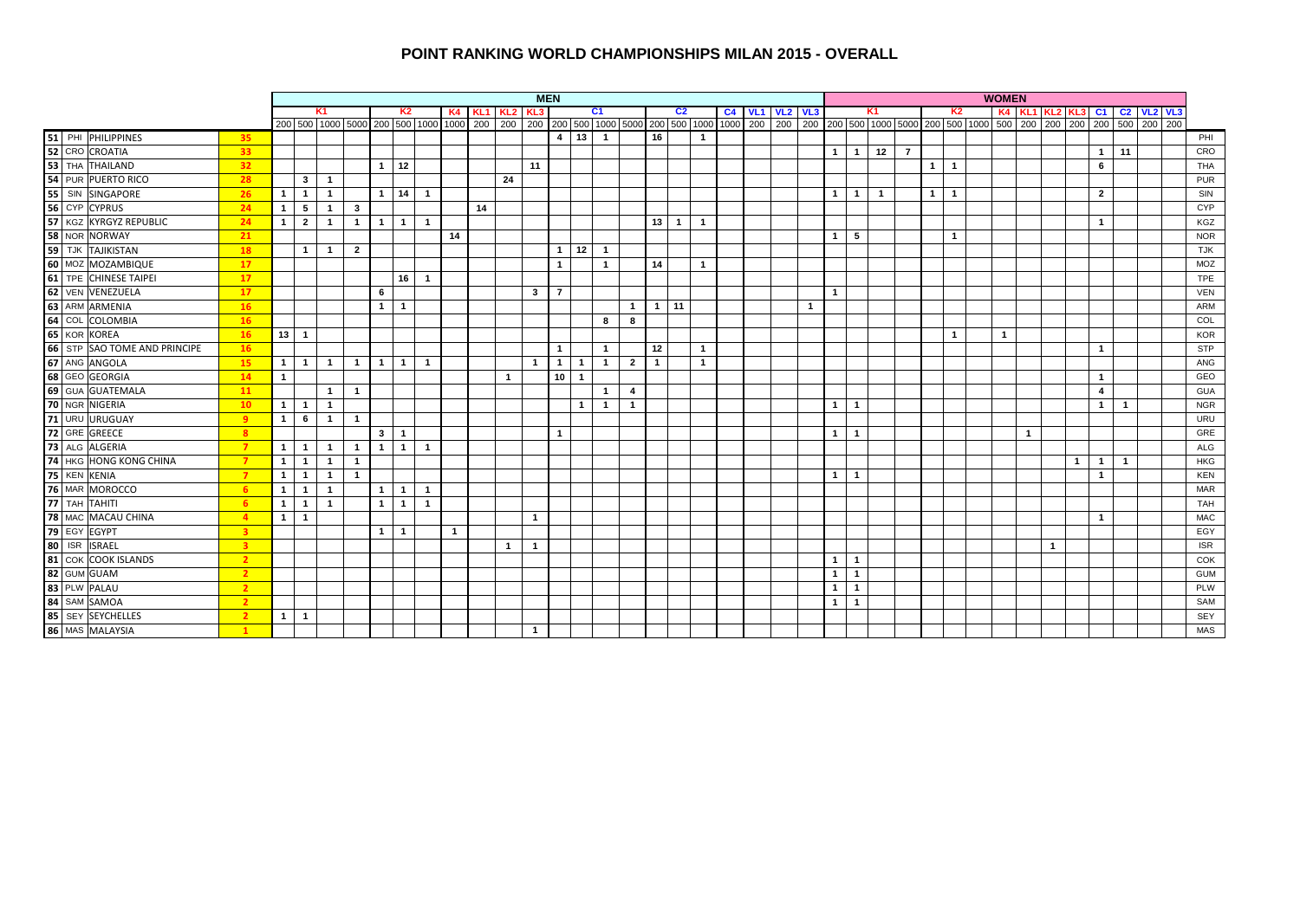#### **POINT RANKING WORLD CHAMPIONSHIPS MILAN 2015 - OVERALL**

|                                                                                                   |                         |                | <b>MEN</b>              |                |                |                |                |                |                |    |              |                         |                 |                |                |                |                | <b>WOMEN</b>   |                |  |                       |              |              |                |              |              |                |                |              |                              |                |              |  |            |
|---------------------------------------------------------------------------------------------------|-------------------------|----------------|-------------------------|----------------|----------------|----------------|----------------|----------------|----------------|----|--------------|-------------------------|-----------------|----------------|----------------|----------------|----------------|----------------|----------------|--|-----------------------|--------------|--------------|----------------|--------------|--------------|----------------|----------------|--------------|------------------------------|----------------|--------------|--|------------|
|                                                                                                   |                         |                |                         | K1             |                |                | K2             |                |                |    | K4 KL1 KL2   | KL3                     |                 |                | C1             |                |                | C <sub>2</sub> |                |  | <b>C4 VL1 VL2 VL3</b> |              |              |                | K1           |              | K <sub>2</sub> |                |              | K4 KL1 KL2 KL3 C1 C2 VL2 VL3 |                |              |  |            |
|                                                                                                   |                         |                |                         |                |                |                |                |                |                |    |              |                         |                 |                |                |                |                |                |                |  |                       |              |              |                |              |              |                |                |              |                              |                |              |  |            |
| 51 PHI PHILIPPINES<br>52 CRO CROATIA                                                              | 35                      |                |                         |                |                |                |                |                |                |    |              |                         |                 | $4$ 13 1       |                |                | 16             |                | $\overline{1}$ |  |                       |              |              |                |              |              |                |                |              |                              |                |              |  | PHI        |
|                                                                                                   | 33 <sup>2</sup>         |                |                         |                |                |                |                |                |                |    |              |                         |                 |                |                |                |                |                |                |  |                       |              | $\mathbf{1}$ | $\overline{1}$ | $12$ 7       |              |                |                |              |                              | $\overline{1}$ | 11           |  | CRO        |
| 53 THA THAILAND                                                                                   | 32 <sub>2</sub>         |                |                         |                |                | $1 \mid 12$    |                |                |                |    |              | 11                      |                 |                |                |                |                |                |                |  |                       |              |              |                |              | 1            | $\overline{1}$ |                |              |                              | 6              |              |  | <b>THA</b> |
| 54 PUR PUERTO RICO                                                                                | 28                      |                | $\mathbf{3}$            | $\overline{1}$ |                |                |                |                |                |    | 24           |                         |                 |                |                |                |                |                |                |  |                       |              |              |                |              |              |                |                |              |                              |                |              |  | <b>PUR</b> |
|                                                                                                   | 26                      | 1 <sup>1</sup> | $\overline{1}$          | $\mathbf{1}$   |                | $\mathbf{1}$   | 14             | $\overline{1}$ |                |    |              |                         |                 |                |                |                |                |                |                |  |                       |              | $\mathbf{1}$ | $\overline{1}$ | $\mathbf{1}$ | $\mathbf{1}$ | $\overline{1}$ |                |              |                              | $\overline{2}$ |              |  | SIN        |
|                                                                                                   | 24                      | $\mathbf{1}$   | $-5$                    | $\mathbf{1}$   | $\mathbf{3}$   |                |                |                |                | 14 |              |                         |                 |                |                |                |                |                |                |  |                       |              |              |                |              |              |                |                |              |                              |                |              |  | <b>CYP</b> |
| 55 SIN SINGAPORE<br>56 CYP CYPRUS<br>57 KGZ KYRGYZ REPUBLIC<br>58 NOR NORWAY<br>59 TJK TAJIKISTAN | 24                      | 1              | $\overline{2}$          | $\overline{1}$ | $\overline{1}$ | $\overline{1}$ | 1 <sup>1</sup> | $\overline{1}$ |                |    |              |                         |                 |                |                |                |                | $13$ 1         | $\mathbf{1}$   |  |                       |              |              |                |              |              |                |                |              |                              | $\overline{1}$ |              |  | KGZ        |
|                                                                                                   | 21                      |                |                         |                |                |                |                |                | 14             |    |              |                         |                 |                |                |                |                |                |                |  |                       |              | $\mathbf{1}$ | 5              |              |              | $\mathbf{1}$   |                |              |                              |                |              |  | <b>NOR</b> |
|                                                                                                   | 18                      |                | $\overline{1}$          | $\overline{1}$ | $\overline{2}$ |                |                |                |                |    |              |                         | $\mathbf{1}$    | 12             | $\overline{1}$ |                |                |                |                |  |                       |              |              |                |              |              |                |                |              |                              |                |              |  | <b>TJK</b> |
| 60 MOZ MOZAMBIQUE                                                                                 | 17                      |                |                         |                |                |                |                |                |                |    |              |                         | $\mathbf{1}$    |                | $\overline{1}$ |                | 14             |                | $\mathbf{1}$   |  |                       |              |              |                |              |              |                |                |              |                              |                |              |  | MOZ        |
| 61 TPE CHINESE TAIPEI                                                                             | 17                      |                |                         |                |                |                | $16$ 1         |                |                |    |              |                         |                 |                |                |                |                |                |                |  |                       |              |              |                |              |              |                |                |              |                              |                |              |  | <b>TPE</b> |
| 62 VEN VENEZUELA                                                                                  | 17                      |                |                         |                |                | 6              |                |                |                |    |              | $\mathbf{3}$            | $\overline{7}$  |                |                |                |                |                |                |  |                       |              | $\mathbf{1}$ |                |              |              |                |                |              |                              |                |              |  | <b>VEN</b> |
| 63 ARM ARMENIA                                                                                    | 16                      |                |                         |                |                | $\mathbf{1}$   | $\overline{1}$ |                |                |    |              |                         |                 |                |                | $\mathbf{1}$   |                | $1 \mid 11$    |                |  |                       | $\mathbf{1}$ |              |                |              |              |                |                |              |                              |                |              |  | <b>ARM</b> |
| 64 COL COLOMBIA                                                                                   | 16                      |                |                         |                |                |                |                |                |                |    |              |                         |                 |                | 8              | 8              |                |                |                |  |                       |              |              |                |              |              |                |                |              |                              |                |              |  | COL        |
| 65 KOR KOREA                                                                                      | 16                      | $13$ 1         |                         |                |                |                |                |                |                |    |              |                         |                 |                |                |                |                |                |                |  |                       |              |              |                |              |              | $\mathbf 1$    | $\overline{1}$ |              |                              |                |              |  | <b>KOR</b> |
| 66 STP SAO TOME AND PRINCIPE                                                                      | 16                      |                |                         |                |                |                |                |                |                |    |              |                         | $\overline{1}$  |                | $\mathbf{1}$   |                | 12             |                | $\mathbf{1}$   |  |                       |              |              |                |              |              |                |                |              |                              | $\overline{1}$ |              |  | <b>STP</b> |
| 67 ANG ANGOLA                                                                                     | 15                      |                | $1 \mid 1$              | $\overline{1}$ | $\overline{1}$ | $\overline{1}$ | 1 <sup>1</sup> | $\overline{1}$ |                |    |              | $\overline{1}$          | $\mathbf{1}$    | $\mathbf{1}$   | $\overline{1}$ | $\overline{2}$ | $\overline{1}$ |                | $\mathbf{1}$   |  |                       |              |              |                |              |              |                |                |              |                              |                |              |  | ANG        |
|                                                                                                   | 14                      | $\mathbf{1}$   |                         |                |                |                |                |                |                |    | $\mathbf{1}$ |                         | 10 <sup>1</sup> | $\overline{1}$ |                |                |                |                |                |  |                       |              |              |                |              |              |                |                |              |                              | $\overline{1}$ |              |  | GEO        |
| 68 GEO GEORGIA                                                                                    | 11                      |                |                         | $\mathbf{1}$   | $\overline{1}$ |                |                |                |                |    |              |                         |                 |                | $\overline{1}$ | $\overline{4}$ |                |                |                |  |                       |              |              |                |              |              |                |                |              |                              | $\overline{4}$ |              |  | <b>GUA</b> |
| 70 NGR NIGERIA                                                                                    | 10 <sup>°</sup>         |                | $1 \mid 1$              | $\overline{1}$ |                |                |                |                |                |    |              |                         |                 | $\overline{1}$ | $\overline{1}$ | $\mathbf{1}$   |                |                |                |  |                       |              | $\mathbf{1}$ | $\overline{1}$ |              |              |                |                |              |                              | $\overline{1}$ | $\mathbf{1}$ |  | <b>NGR</b> |
| 71 URU URUGUAY                                                                                    | -9                      |                | $1 \mid 6$              | $\overline{1}$ | $\overline{1}$ |                |                |                |                |    |              |                         |                 |                |                |                |                |                |                |  |                       |              |              |                |              |              |                |                |              |                              |                |              |  | <b>URU</b> |
| 72 GRE GREECE                                                                                     | 8                       |                |                         |                |                | $3^{\circ}$    | $\overline{1}$ |                |                |    |              |                         | $\mathbf{1}$    |                |                |                |                |                |                |  |                       |              | $\mathbf{1}$ | $\overline{1}$ |              |              |                |                | $\mathbf{1}$ |                              |                |              |  | GRE        |
| 73 ALG ALGERIA                                                                                    | $\overline{7}$          |                | $1 \mid 1$              | $\mathbf{1}$   | $\overline{1}$ | $\overline{1}$ | 1              | $\overline{1}$ |                |    |              |                         |                 |                |                |                |                |                |                |  |                       |              |              |                |              |              |                |                |              |                              |                |              |  | <b>ALG</b> |
| <b>74 HKG HONG KONG CHINA</b>                                                                     | $\overline{7}$          | 1 <sup>1</sup> | $\overline{\mathbf{1}}$ | $\mathbf{1}$   | $\overline{1}$ |                |                |                |                |    |              |                         |                 |                |                |                |                |                |                |  |                       |              |              |                |              |              |                |                |              | $\mathbf{1}$                 | $\overline{1}$ | $\mathbf{1}$ |  | <b>HKG</b> |
| 75 KEN KENIA                                                                                      | $\overline{7}$          | 1              | $\overline{1}$          | $\mathbf{1}$   | $\overline{1}$ |                |                |                |                |    |              |                         |                 |                |                |                |                |                |                |  |                       |              | $\mathbf{1}$ | $\overline{1}$ |              |              |                |                |              |                              | $\overline{1}$ |              |  | <b>KEN</b> |
| 76 MAR MOROCCO                                                                                    | -6                      | 1              | $\overline{\mathbf{1}}$ | $\mathbf{1}$   |                | $\mathbf{1}$   | $\overline{1}$ | $\overline{1}$ |                |    |              |                         |                 |                |                |                |                |                |                |  |                       |              |              |                |              |              |                |                |              |                              |                |              |  | <b>MAR</b> |
| 77 TAH TAHITI                                                                                     | 6                       | $1 \mid 1$     |                         | $\overline{1}$ |                | $\mathbf{1}$   | $\overline{1}$ | $\overline{1}$ |                |    |              |                         |                 |                |                |                |                |                |                |  |                       |              |              |                |              |              |                |                |              |                              |                |              |  | <b>TAH</b> |
| 78 MAC MACAU CHINA                                                                                | $\overline{4}$          | $1 \mid 1$     |                         |                |                |                |                |                |                |    |              | $\mathbf{1}$            |                 |                |                |                |                |                |                |  |                       |              |              |                |              |              |                |                |              |                              | $\overline{1}$ |              |  | <b>MAC</b> |
| <b>79</b> EGY EGYPT<br><b>80</b> ISR ISRAEL<br><b>81</b> COK COOK ISLANDS                         | $\overline{\mathbf{3}}$ |                |                         |                |                | $\mathbf{1}$   | $\overline{1}$ |                | $\overline{1}$ |    |              |                         |                 |                |                |                |                |                |                |  |                       |              |              |                |              |              |                |                |              |                              |                |              |  | EGY        |
|                                                                                                   | $\overline{\mathbf{3}}$ |                |                         |                |                |                |                |                |                |    | $\mathbf{1}$ | $\overline{1}$          |                 |                |                |                |                |                |                |  |                       |              |              |                |              |              |                |                |              | $\overline{1}$               |                |              |  | <b>ISR</b> |
|                                                                                                   | $\overline{2}$          |                |                         |                |                |                |                |                |                |    |              |                         |                 |                |                |                |                |                |                |  |                       |              | $\mathbf{1}$ | $\overline{1}$ |              |              |                |                |              |                              |                |              |  | COK        |
| 82 GUM GUAM                                                                                       | $\overline{2}$          |                |                         |                |                |                |                |                |                |    |              |                         |                 |                |                |                |                |                |                |  |                       |              | $\mathbf{1}$ | $\mathbf{1}$   |              |              |                |                |              |                              |                |              |  | <b>GUM</b> |
| 83 PLW PALAU                                                                                      | $\overline{2}$          |                |                         |                |                |                |                |                |                |    |              |                         |                 |                |                |                |                |                |                |  |                       |              | $\mathbf{1}$ | $\mathbf{1}$   |              |              |                |                |              |                              |                |              |  | PLW        |
| 84 SAM SAMOA                                                                                      | $\overline{2}$          |                |                         |                |                |                |                |                |                |    |              |                         |                 |                |                |                |                |                |                |  |                       |              | $\mathbf{1}$ | $\mathbf{1}$   |              |              |                |                |              |                              |                |              |  | SAM        |
| 85 SEY SEYCHELLES                                                                                 | $\overline{2}$          |                | $1 \mid 1$              |                |                |                |                |                |                |    |              |                         |                 |                |                |                |                |                |                |  |                       |              |              |                |              |              |                |                |              |                              |                |              |  | SEY        |
| 86 MAS MALAYSIA                                                                                   | $\mathbf{1}$            |                |                         |                |                |                |                |                |                |    |              | $\overline{\mathbf{1}}$ |                 |                |                |                |                |                |                |  |                       |              |              |                |              |              |                |                |              |                              |                |              |  | <b>MAS</b> |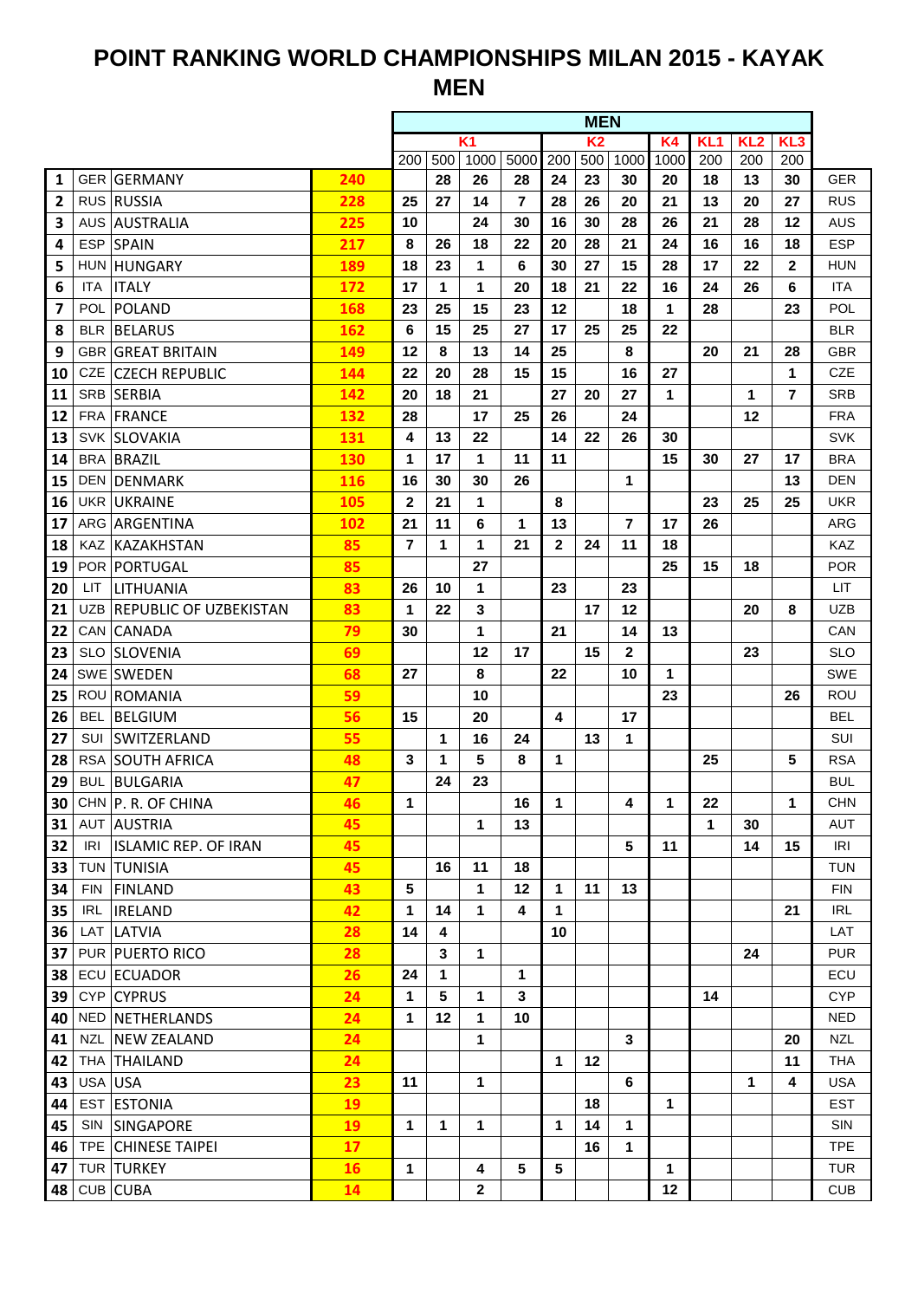## **POINT RANKING WORLD CHAMPIONSHIPS MILAN 2015 - KAYAK MEN**

|                 |            |                                          |            | <b>MEN</b>           |          |              |                   |             |                |                |              |                 |                 |                 |                          |
|-----------------|------------|------------------------------------------|------------|----------------------|----------|--------------|-------------------|-------------|----------------|----------------|--------------|-----------------|-----------------|-----------------|--------------------------|
|                 |            |                                          |            |                      |          | K1           |                   |             | K <sub>2</sub> |                | K4           | KL <sub>1</sub> | KL <sub>2</sub> | KL <sub>3</sub> |                          |
|                 |            |                                          |            | 200                  | 500      | 1000         | 5000              | 200         | 500            | 1000           | 1000         | 200             | 200             | 200             |                          |
| 1               |            | <b>GER GERMANY</b>                       | 240        |                      | 28       | 26           | 28                | 24          | 23             | 30             | 20           | 18              | 13              | 30              | <b>GER</b>               |
| $\overline{2}$  |            | <b>RUS RUSSIA</b>                        | 228        | 25                   | 27       | 14           | 7                 | 28          | 26             | 20             | 21           | 13              | 20              | 27              | <b>RUS</b>               |
| 3               |            | <b>AUS AUSTRALIA</b>                     | 225        | 10                   |          | 24           | 30                | 16          | 30             | 28             | 26           | 21              | 28              | 12              | AUS                      |
| 4               |            | <b>ESP SPAIN</b>                         | 217        | 8                    | 26       | 18           | 22                | 20          | 28             | 21             | 24           | 16              | 16              | 18              | <b>ESP</b>               |
| 5               |            | HUN HUNGARY                              | 189        | 18                   | 23       | 1            | 6                 | 30          | 27             | 15             | 28           | 17              | 22              | $\mathbf{2}$    | <b>HUN</b>               |
| 6               | <b>ITA</b> | <b>ITALY</b>                             | 172        | 17                   | 1        | 1            | 20                | 18          | 21             | 22             | 16           | 24              | 26              | 6               | <b>ITA</b>               |
| 7               | <b>POL</b> | POLAND                                   | 168        | 23                   | 25       | 15           | 23                | 12          |                | 18             | 1            | 28              |                 | 23              | POL                      |
| 8               |            | <b>BLR BELARUS</b>                       | 162        | 6                    | 15       | 25           | 27                | 17          | 25             | 25             | 22           |                 |                 |                 | <b>BLR</b>               |
| 9               |            | <b>GBR GREAT BRITAIN</b>                 | 149        | 12                   | 8        | 13           | 14                | 25          |                | 8              |              | 20              | 21              | 28              | <b>GBR</b>               |
| 10              | CZE        | <b>CZECH REPUBLIC</b>                    | 144        | 22<br>20             | 20<br>18 | 28<br>21     | 15                | 15<br>27    | 20             | 16<br>27       | 27<br>1      |                 | 1               | 1<br>7          | <b>CZE</b><br><b>SRB</b> |
| 11<br>12        | <b>FRA</b> | SRB SERBIA<br><b>FRANCE</b>              | 142<br>132 | 28                   |          | 17           | 25                | 26          |                | 24             |              |                 | 12              |                 | <b>FRA</b>               |
| 13              |            | <b>SVK SLOVAKIA</b>                      | 131        | 4                    | 13       | 22           |                   | 14          | 22             | 26             | 30           |                 |                 |                 | <b>SVK</b>               |
| 14              |            | <b>BRA BRAZIL</b>                        | 130        | 1                    | 17       | 1            | 11                | 11          |                |                | 15           | 30              | 27              | 17              | <b>BRA</b>               |
|                 |            |                                          |            | 16                   | 30       | 30           | 26                |             |                | 1              |              |                 |                 | 13              | <b>DEN</b>               |
| 15<br>16        |            | <b>DEN DENMARK</b><br><b>UKR UKRAINE</b> | 116<br>105 | $\mathbf{2}$         | 21       | 1            |                   | 8           |                |                |              | 23              | 25              | 25              | <b>UKR</b>               |
|                 |            | ARG ARGENTINA                            |            |                      | 11       | 6            |                   | 13          |                | $\overline{7}$ | 17           | 26              |                 |                 | ARG                      |
| 17              |            | KAZ KAZAKHSTAN                           | 102<br>85  | 21<br>$\overline{7}$ | 1        | 1            | 1<br>21           | $\mathbf 2$ | 24             | 11             | 18           |                 |                 |                 | KAZ                      |
| 18<br>19        |            | POR PORTUGAL                             | 85         |                      |          | 27           |                   |             |                |                | 25           | 15              | 18              |                 | <b>POR</b>               |
| 20              | LIT.       | LITHUANIA                                | 83         | 26                   | 10       | 1            |                   | 23          |                | 23             |              |                 |                 |                 | LIT                      |
| 21              |            | UZB REPUBLIC OF UZBEKISTAN               | 83         | 1                    | 22       | 3            |                   |             | 17             | 12             |              |                 | 20              | 8               | <b>UZB</b>               |
| 22              |            | CAN CANADA                               | 79         | 30                   |          | 1            |                   | 21          |                | 14             | 13           |                 |                 |                 | CAN                      |
| 23              | SLO        | <b>SLOVENIA</b>                          | 69         |                      |          | 12           | 17                |             | 15             | 2              |              |                 | 23              |                 | <b>SLO</b>               |
| 24              |            | SWE SWEDEN                               | 68         | 27                   |          | 8            |                   | 22          |                | 10             | 1            |                 |                 |                 | SWE                      |
| 25              |            | ROU ROMANIA                              | 59         |                      |          | 10           |                   |             |                |                | 23           |                 |                 | 26              | ROU                      |
| 26              | <b>BEL</b> | BELGIUM                                  | 56         | 15                   |          | 20           |                   | 4           |                | 17             |              |                 |                 |                 | BEL                      |
| 27              | SUI        | SWITZERLAND                              | 55         |                      | 1        | 16           | 24                |             | 13             | 1              |              |                 |                 |                 | <b>SUI</b>               |
| 28              |            | <b>RSA SOUTH AFRICA</b>                  | 48         | 3                    | 1        | 5            | 8                 | 1           |                |                |              | 25              |                 | 5               | <b>RSA</b>               |
| 29              |            | <b>BUL BULGARIA</b>                      | 47         |                      | 24       | 23           |                   |             |                |                |              |                 |                 |                 | <b>BUL</b>               |
| 30 <sub>1</sub> |            | CHN P. R. OF CHINA                       | 46         | 1                    |          |              | 16                | 1           |                | 4              | 1            | 22              |                 | 1               | <b>CHN</b>               |
| 31              |            | <b>AUT AUSTRIA</b>                       | 45         |                      |          | 1            | 13                |             |                |                |              | 1               | 30              |                 | AUT                      |
| 32              | IRI        | <b>ISLAMIC REP. OF IRAN</b>              | 45         |                      |          |              |                   |             |                | 5              | 11           |                 | 14              | 15              | IRI                      |
| 33              |            | <b>TUN TUNISIA</b>                       | 45         |                      | 16       | 11           | 18                |             |                |                |              |                 |                 |                 | <b>TUN</b>               |
| 34              | FIN        | FINLAND                                  | 43         | $5\phantom{1}$       |          | 1            | $12 \overline{ }$ | $\mathbf 1$ | 11             | 13             |              |                 |                 |                 | <b>FIN</b>               |
| 35              | IRL        | <b>IRELAND</b>                           | 42         | 1                    | 14       | 1            | 4                 | 1           |                |                |              |                 |                 | 21              | <b>IRL</b>               |
| 36              |            | LAT LATVIA                               | 28         | 14                   | 4        |              |                   | 10          |                |                |              |                 |                 |                 | LAT                      |
| 37              |            | PUR   PUERTO RICO                        | 28         |                      | 3        | 1            |                   |             |                |                |              |                 | 24              |                 | <b>PUR</b>               |
| 38              |            | ECU ECUADOR                              | 26         | 24                   | 1        |              | 1                 |             |                |                |              |                 |                 |                 | ECU                      |
| 39              |            | CYP CYPRUS                               | 24         | $\mathbf{1}$         | 5        | 1            | 3                 |             |                |                |              | 14              |                 |                 | <b>CYP</b>               |
| 40              |            | NED NETHERLANDS                          | 24         | $\mathbf 1$          | 12       | 1            | 10                |             |                |                |              |                 |                 |                 | <b>NED</b>               |
| 41              | NZL        | NEW ZEALAND                              | 24         |                      |          | 1            |                   |             |                | 3              |              |                 |                 | 20              | <b>NZL</b>               |
| 42              |            | THA THAILAND                             | 24         |                      |          |              |                   | $\mathbf 1$ | 12             |                |              |                 |                 | 11              | <b>THA</b>               |
| 43              |            | USA USA                                  | 23         | 11                   |          | 1            |                   |             |                | 6              |              |                 | 1               | 4               | <b>USA</b>               |
| 44              |            | <b>EST ESTONIA</b>                       | 19         |                      |          |              |                   |             | 18             |                | $\mathbf{1}$ |                 |                 |                 | <b>EST</b>               |
| 45              |            | SIN SINGAPORE                            | 19         | $\mathbf{1}$         | 1        | 1            |                   | 1           | 14             | 1              |              |                 |                 |                 | SIN                      |
| 46              |            | <b>TPE CHINESE TAIPEI</b>                | 17         |                      |          |              |                   |             | 16             | 1              |              |                 |                 |                 | <b>TPE</b>               |
| 47              |            | TUR TURKEY                               | 16         | $\mathbf{1}$         |          | 4            | 5                 | 5           |                |                | $\mathbf{1}$ |                 |                 |                 | <b>TUR</b>               |
| 48              |            | CUB CUBA                                 | 14         |                      |          | $\mathbf{2}$ |                   |             |                |                | 12           |                 |                 |                 | <b>CUB</b>               |
|                 |            |                                          |            |                      |          |              |                   |             |                |                |              |                 |                 |                 |                          |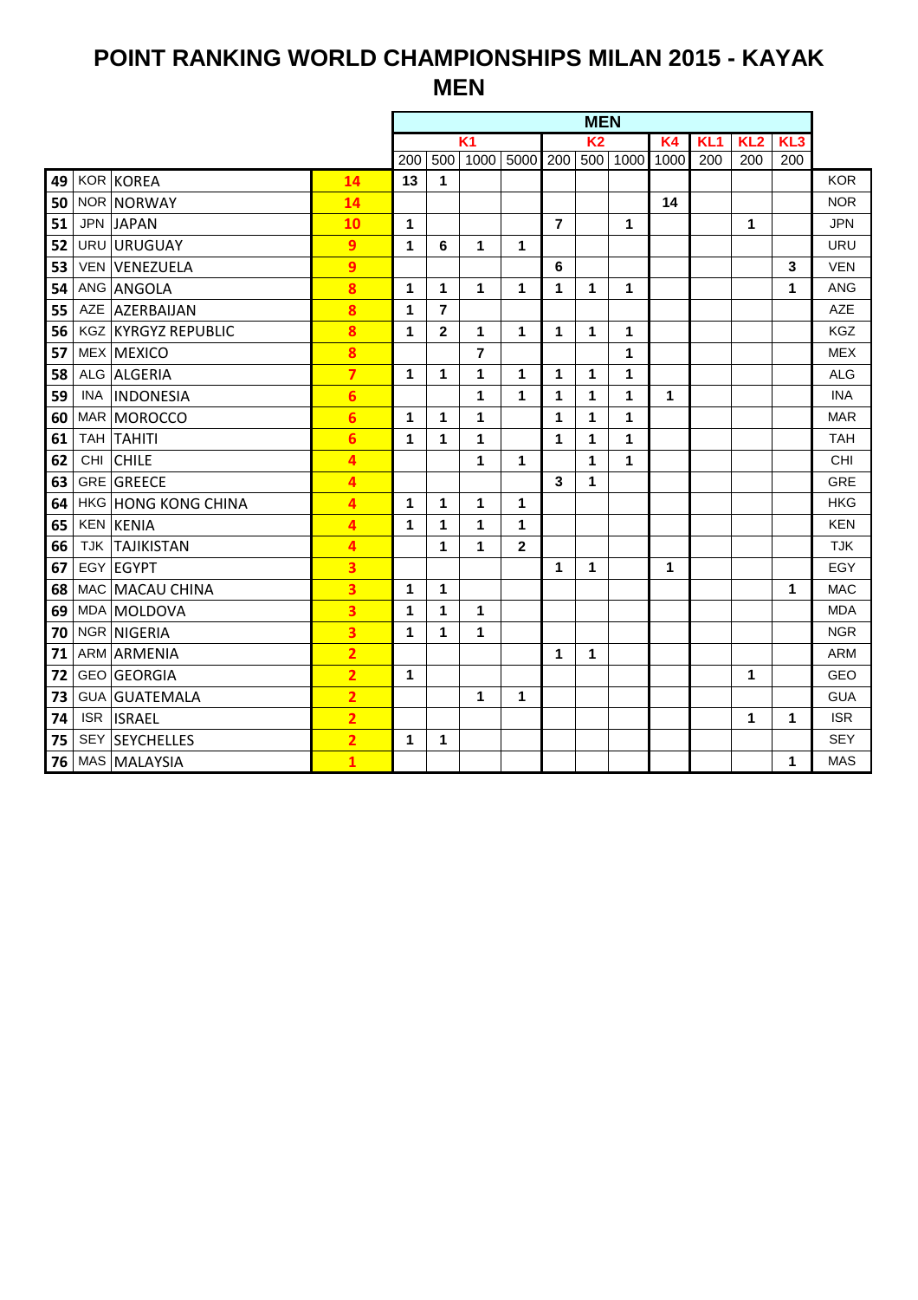## **POINT RANKING WORLD CHAMPIONSHIPS MILAN 2015 - KAYAK MEN**

|    |            |                            |                         | <b>MEN</b>  |                         |                |              |                |                |      |           |                 |     |     |            |  |
|----|------------|----------------------------|-------------------------|-------------|-------------------------|----------------|--------------|----------------|----------------|------|-----------|-----------------|-----|-----|------------|--|
|    |            |                            |                         |             |                         | $\overline{K}$ |              |                | K <sub>2</sub> |      | <b>K4</b> | KL <sub>1</sub> | KL2 | KL3 |            |  |
|    |            |                            |                         | 200         | 500                     | 1000           | 5000         | 200            | 500            | 1000 | 1000      | 200             | 200 | 200 |            |  |
| 49 |            | KOR KOREA                  | 14                      | 13          | 1                       |                |              |                |                |      |           |                 |     |     | <b>KOR</b> |  |
| 50 |            | NOR NORWAY                 | 14                      |             |                         |                |              |                |                |      | 14        |                 |     |     | <b>NOR</b> |  |
| 51 |            | <b>JPN JAPAN</b>           | 10                      | $\mathbf 1$ |                         |                |              | $\overline{7}$ |                | 1    |           |                 | 1   |     | <b>JPN</b> |  |
| 52 |            | URU URUGUAY                | 9                       | 1           | 6                       | 1              | 1            |                |                |      |           |                 |     |     | <b>URU</b> |  |
| 53 |            | <b>VEN VENEZUELA</b>       | 9                       |             |                         |                |              | 6              |                |      |           |                 |     | 3   | <b>VEN</b> |  |
| 54 |            | ANG ANGOLA                 | 8                       | 1           | 1                       | 1              | 1            | 1              | 1              | 1    |           |                 |     | 1   | <b>ANG</b> |  |
| 55 |            | AZE AZERBAIJAN             | 8                       | 1           | $\overline{\mathbf{r}}$ |                |              |                |                |      |           |                 |     |     | <b>AZE</b> |  |
| 56 |            | <b>KGZ KYRGYZ REPUBLIC</b> | 8                       | $\mathbf 1$ | $\mathbf{2}$            | 1              | 1            | 1              | 1              | 1    |           |                 |     |     | KGZ        |  |
| 57 |            | MEX MEXICO                 | 8                       |             |                         | 7              |              |                |                | 1    |           |                 |     |     | <b>MEX</b> |  |
| 58 |            | ALG ALGERIA                | $\overline{\mathbf{z}}$ | 1           | 1                       | 1              | 1            | 1              | 1              | 1    |           |                 |     |     | <b>ALG</b> |  |
| 59 | <b>INA</b> | <b>INDONESIA</b>           | 6                       |             |                         | 1              | 1            | 1              | 1              | 1    | 1         |                 |     |     | <b>INA</b> |  |
| 60 |            | MAR MOROCCO                | 6                       | $\mathbf 1$ | 1                       | 1              |              | 1              | 1              | 1    |           |                 |     |     | <b>MAR</b> |  |
| 61 |            | <b>TAH TAHITI</b>          | 6                       | 1           | 1                       | 1              |              | 1              | 1              | 1    |           |                 |     |     | <b>TAH</b> |  |
| 62 | <b>CHI</b> | <b>CHILE</b>               | 4                       |             |                         | 1              | 1            |                | 1              | 1    |           |                 |     |     | CHI        |  |
| 63 |            | <b>GRE GREECE</b>          | $\overline{\mathbf{4}}$ |             |                         |                |              | $\mathbf{3}$   | 1              |      |           |                 |     |     | <b>GRE</b> |  |
| 64 |            | <b>HKG HONG KONG CHINA</b> | 4                       | 1           | 1                       | 1              | 1            |                |                |      |           |                 |     |     | <b>HKG</b> |  |
| 65 |            | <b>KEN KENIA</b>           | 4                       | $\mathbf 1$ | 1                       | 1              | 1            |                |                |      |           |                 |     |     | <b>KEN</b> |  |
| 66 | <b>TJK</b> | <b>TAJIKISTAN</b>          | 4                       |             | 1                       | 1              | $\mathbf{2}$ |                |                |      |           |                 |     |     | <b>TJK</b> |  |
| 67 |            | EGY EGYPT                  | 3                       |             |                         |                |              | 1              | 1              |      | 1         |                 |     |     | EGY        |  |
| 68 |            | MAC MACAU CHINA            | 3                       | $\mathbf 1$ | 1                       |                |              |                |                |      |           |                 |     | 1   | <b>MAC</b> |  |
| 69 |            | MDA MOLDOVA                | 3                       | 1           | 1                       | 1              |              |                |                |      |           |                 |     |     | <b>MDA</b> |  |
| 70 |            | NGR NIGERIA                | 3                       | 1           | 1                       | 1              |              |                |                |      |           |                 |     |     | <b>NGR</b> |  |
| 71 |            | ARM ARMENIA                | $\overline{2}$          |             |                         |                |              | 1              | 1              |      |           |                 |     |     | <b>ARM</b> |  |
| 72 |            | <b>GEO GEORGIA</b>         | $\overline{2}$          | $\mathbf 1$ |                         |                |              |                |                |      |           |                 | 1   |     | <b>GEO</b> |  |
| 73 |            | <b>GUA GUATEMALA</b>       | $\overline{2}$          |             |                         | 1              | 1            |                |                |      |           |                 |     |     | <b>GUA</b> |  |
| 74 | <b>ISR</b> | <b>ISRAEL</b>              | $\overline{2}$          |             |                         |                |              |                |                |      |           |                 | 1   | 1   | <b>ISR</b> |  |
| 75 | <b>SEY</b> | <b>SEYCHELLES</b>          | $\overline{2}$          | 1           | 1                       |                |              |                |                |      |           |                 |     |     | <b>SEY</b> |  |
| 76 |            | MAS MALAYSIA               | $\overline{1}$          |             |                         |                |              |                |                |      |           |                 |     | 1   | <b>MAS</b> |  |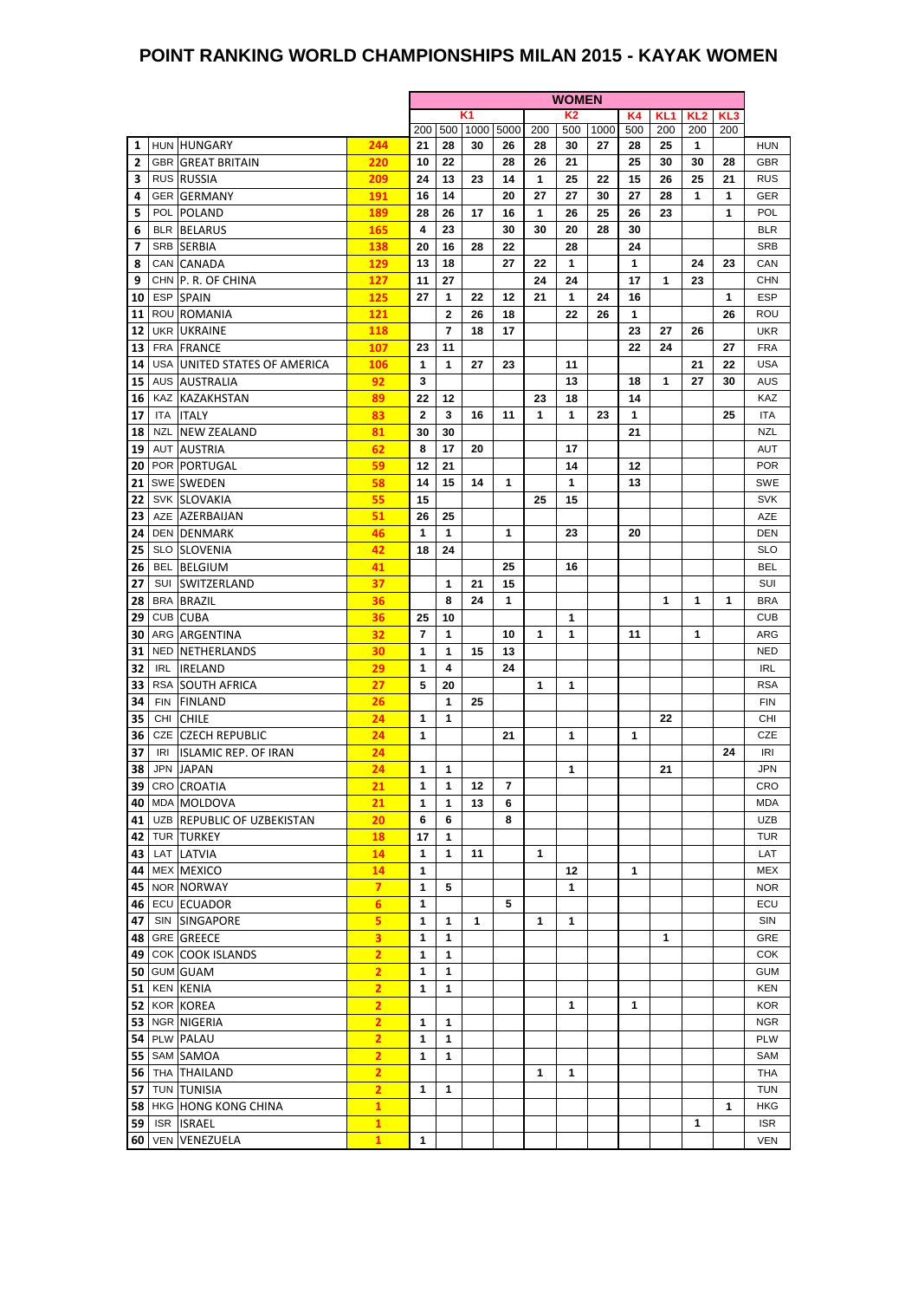#### **POINT RANKING WORLD CHAMPIONSHIPS MILAN 2015 - KAYAK WOMEN**

|    |     |                              |                         | <b>WOMEN</b>            |                |    |           |     |                |      |              |                 |                 |                 |            |
|----|-----|------------------------------|-------------------------|-------------------------|----------------|----|-----------|-----|----------------|------|--------------|-----------------|-----------------|-----------------|------------|
|    |     |                              |                         |                         |                | K1 |           |     | K <sub>2</sub> |      | K4           | KL <sub>1</sub> | KL <sub>2</sub> | KL <sub>3</sub> |            |
|    |     |                              |                         | 200                     | 500            |    | 1000 5000 | 200 | 500            | 1000 | 500          | 200             | 200             | 200             |            |
| 1  |     | HUN HUNGARY                  | 244                     | 21                      | 28             | 30 | 26        | 28  | 30             | 27   | 28           | 25              | 1               |                 | <b>HUN</b> |
| 2  |     | <b>GBR GREAT BRITAIN</b>     | 220                     | 10                      | 22             |    | 28        | 26  | 21             |      | 25           | 30              | 30              | 28              | <b>GBR</b> |
| 3  |     | <b>RUS RUSSIA</b>            | 209                     | 24                      | 13             | 23 | 14        | 1   | 25             | 22   | 15           | 26              | 25              | 21              | <b>RUS</b> |
| 4  |     | <b>GER GERMANY</b>           | 191                     | 16                      | 14             |    | 20        | 27  | 27             | 30   | 27           | 28              | 1               | 1               | <b>GER</b> |
| 5  |     | POL POLAND                   | 189                     | 28                      | 26             | 17 | 16        | 1   | 26             | 25   | 26           | 23              |                 | 1               | <b>POL</b> |
| 6  |     | <b>BLR BELARUS</b>           | 165                     | 4                       | 23             |    | 30        | 30  | 20             | 28   | 30           |                 |                 |                 | <b>BLR</b> |
| 7  |     | SRB SERBIA                   | 138                     | 20                      | 16             | 28 | 22        |     | 28             |      | 24           |                 |                 |                 | <b>SRB</b> |
| 8  |     | CAN CANADA                   | 129                     | 13                      | 18             |    | 27        | 22  | 1              |      | $\mathbf{1}$ |                 | 24              | 23              | CAN        |
|    |     |                              |                         |                         |                |    |           | 24  |                |      |              |                 |                 |                 |            |
| 9  |     | CHN P. R. OF CHINA           | 127                     | 11                      | 27             |    |           |     | 24             |      | 17           | 1               | 23              |                 | <b>CHN</b> |
| 10 |     | <b>ESP SPAIN</b>             | 125                     | 27                      | 1              | 22 | 12        | 21  | 1              | 24   | 16           |                 |                 | $\mathbf{1}$    | <b>ESP</b> |
| 11 |     | ROU ROMANIA                  | 121                     |                         | $\mathbf{2}$   | 26 | 18        |     | 22             | 26   | $\mathbf{1}$ |                 |                 | 26              | ROU        |
| 12 |     | UKR UKRAINE                  | 118                     |                         | $\overline{7}$ | 18 | 17        |     |                |      | 23           | 27              | 26              |                 | <b>UKR</b> |
| 13 |     | FRA FRANCE                   | 107                     | 23                      | 11             |    |           |     |                |      | 22           | 24              |                 | 27              | <b>FRA</b> |
| 14 |     | USA UNITED STATES OF AMERICA | 106                     | $\mathbf{1}$            | 1              | 27 | 23        |     | 11             |      |              |                 | 21              | 22              | <b>USA</b> |
| 15 |     | <b>AUS AUSTRALIA</b>         | 92                      | 3                       |                |    |           |     | 13             |      | 18           | 1               | 27              | 30              | <b>AUS</b> |
| 16 |     | KAZ KAZAKHSTAN               | 89                      | 22                      | 12             |    |           | 23  | 18             |      | 14           |                 |                 |                 | KAZ        |
| 17 | ITA | <b>ITALY</b>                 | 83                      | 2                       | 3              | 16 | 11        | 1   | 1              | 23   | $\mathbf{1}$ |                 |                 | 25              | <b>ITA</b> |
| 18 |     | NZL NEW ZEALAND              | 81                      | 30                      | 30             |    |           |     |                |      | 21           |                 |                 |                 | <b>NZL</b> |
| 19 |     | <b>AUT AUSTRIA</b>           | 62                      | 8                       | 17             | 20 |           |     | 17             |      |              |                 |                 |                 | AUT        |
| 20 |     | POR PORTUGAL                 | 59                      | 12                      | 21             |    |           |     | 14             |      | 12           |                 |                 |                 | <b>POR</b> |
|    |     |                              |                         |                         |                |    |           |     |                |      |              |                 |                 |                 |            |
| 21 |     | SWE SWEDEN                   | 58                      | 14                      | 15             | 14 | 1         |     | 1              |      | 13           |                 |                 |                 | SWE        |
| 22 |     | SVK SLOVAKIA                 | 55                      | 15                      |                |    |           | 25  | 15             |      |              |                 |                 |                 | <b>SVK</b> |
| 23 |     | AZE AZERBAIJAN               | 51                      | 26                      | 25             |    |           |     |                |      |              |                 |                 |                 | AZE        |
| 24 |     | <b>DEN DENMARK</b>           | 46                      | 1                       | 1              |    | 1         |     | 23             |      | 20           |                 |                 |                 | <b>DEN</b> |
| 25 |     | <b>SLO SLOVENIA</b>          | 42                      | 18                      | 24             |    |           |     |                |      |              |                 |                 |                 | <b>SLO</b> |
| 26 |     | <b>BEL BELGIUM</b>           | 41                      |                         |                |    | 25        |     | 16             |      |              |                 |                 |                 | <b>BEL</b> |
| 27 |     | SUI SWITZERLAND              | 37                      |                         | 1              | 21 | 15        |     |                |      |              |                 |                 |                 | SUI        |
| 28 |     | <b>BRA BRAZIL</b>            | 36                      |                         | 8              | 24 | 1         |     |                |      |              | 1               | 1               | $\mathbf 1$     | <b>BRA</b> |
| 29 |     | CUB CUBA                     | 36                      | 25                      | 10             |    |           |     | 1              |      |              |                 |                 |                 | <b>CUB</b> |
| 30 |     | ARG ARGENTINA                | 32                      | $\overline{\mathbf{r}}$ | 1              |    | 10        | 1   | 1              |      | 11           |                 | 1               |                 | ARG        |
| 31 |     | <b>NED NETHERLANDS</b>       | 30                      | 1                       | 1              | 15 | 13        |     |                |      |              |                 |                 |                 | <b>NED</b> |
| 32 | IRL | <b>IRELAND</b>               | 29                      | 1                       | 4              |    | 24        |     |                |      |              |                 |                 |                 | <b>IRL</b> |
|    |     |                              | 27                      | 5                       | 20             |    |           | 1   | 1              |      |              |                 |                 |                 | <b>RSA</b> |
| 33 |     | RSA SOUTH AFRICA             |                         |                         |                |    |           |     |                |      |              |                 |                 |                 |            |
| 34 |     | FIN FINLAND                  | 26                      |                         | 1              | 25 |           |     |                |      |              |                 |                 |                 | <b>FIN</b> |
| 35 |     | CHI CHILE                    | 24                      | 1                       | 1              |    |           |     |                |      |              | 22              |                 |                 | CHI        |
| 36 |     | CZE CZECH REPUBLIC           | 24                      | 1                       |                |    | 21        |     | 1              |      | 1            |                 |                 |                 | <b>CZE</b> |
| 37 | IRI | ISLAMIC REP. OF IRAN         | 24                      |                         |                |    |           |     |                |      |              |                 |                 | 24              | <b>IRI</b> |
| 38 |     | JPN JAPAN                    | 24                      | 1                       | 1              |    |           |     | 1              |      |              | 21              |                 |                 | JPN        |
|    |     | 39 CRO CROATIA               | 21                      | 1                       | 1              | 12 | 7         |     |                |      |              |                 |                 |                 | CRO        |
|    |     | 40 MDA MOLDOVA               | 21                      | 1                       | $\mathbf{1}$   | 13 | 6         |     |                |      |              |                 |                 |                 | MDA        |
| 41 |     | UZB REPUBLIC OF UZBEKISTAN   | 20                      | 6                       | 6              |    | 8         |     |                |      |              |                 |                 |                 | <b>UZB</b> |
| 42 |     | TUR TURKEY                   | 18                      | 17                      | 1              |    |           |     |                |      |              |                 |                 |                 | TUR        |
| 43 |     | LAT LATVIA                   | 14                      | 1                       | 1              | 11 |           | 1   |                |      |              |                 |                 |                 | LAT        |
| 44 |     | MEX MEXICO                   | 14                      | 1                       |                |    |           |     | 12             |      | 1            |                 |                 |                 | <b>MEX</b> |
| 45 |     | NOR NORWAY                   | $\overline{7}$          | 1                       | 5              |    |           |     | 1              |      |              |                 |                 |                 | <b>NOR</b> |
| 46 |     | ECU ECUADOR                  | 6                       | 1                       |                |    | 5         |     |                |      |              |                 |                 |                 | ECU        |
|    |     |                              |                         |                         |                |    |           |     |                |      |              |                 |                 |                 |            |
| 47 |     | SIN SINGAPORE                | 5                       | 1                       | 1              | 1  |           | 1   | 1              |      |              |                 |                 |                 | SIN        |
| 48 |     | <b>GRE GREECE</b>            | 3                       | 1                       | 1              |    |           |     |                |      |              | 1               |                 |                 | GRE        |
| 49 |     | COK COOK ISLANDS             | $\overline{2}$          | 1                       | 1              |    |           |     |                |      |              |                 |                 |                 | <b>COK</b> |
| 50 |     | <b>GUM GUAM</b>              | $\overline{2}$          | 1                       | 1              |    |           |     |                |      |              |                 |                 |                 | <b>GUM</b> |
| 51 |     | <b>KEN KENIA</b>             | $\overline{\mathbf{2}}$ | 1                       | 1              |    |           |     |                |      |              |                 |                 |                 | <b>KEN</b> |
| 52 |     | KOR KOREA                    | $\overline{2}$          |                         |                |    |           |     | 1              |      | 1            |                 |                 |                 | <b>KOR</b> |
| 53 |     | NGR NIGERIA                  | $\overline{2}$          | 1                       | 1              |    |           |     |                |      |              |                 |                 |                 | <b>NGR</b> |
| 54 |     | PLW PALAU                    | 2                       | 1                       | 1              |    |           |     |                |      |              |                 |                 |                 | PLW        |
| 55 |     | SAM SAMOA                    | $\overline{2}$          | 1                       | 1              |    |           |     |                |      |              |                 |                 |                 | SAM        |
| 56 |     | THA THAILAND                 | $\overline{2}$          |                         |                |    |           | 1   | $\mathbf 1$    |      |              |                 |                 |                 | <b>THA</b> |
| 57 |     | TUN TUNISIA                  | $\overline{2}$          | 1                       | 1              |    |           |     |                |      |              |                 |                 |                 | <b>TUN</b> |
|    |     | HKG HONG KONG CHINA          | $\mathbf{1}$            |                         |                |    |           |     |                |      |              |                 |                 |                 | <b>HKG</b> |
| 58 |     |                              |                         |                         |                |    |           |     |                |      |              |                 |                 | 1               |            |
| 59 |     | ISR ISRAEL                   | $\mathbf{1}$            |                         |                |    |           |     |                |      |              |                 | 1               |                 | <b>ISR</b> |
| 60 |     | <b>VEN VENEZUELA</b>         | $\mathbf{1}$            | 1                       |                |    |           |     |                |      |              |                 |                 |                 | <b>VEN</b> |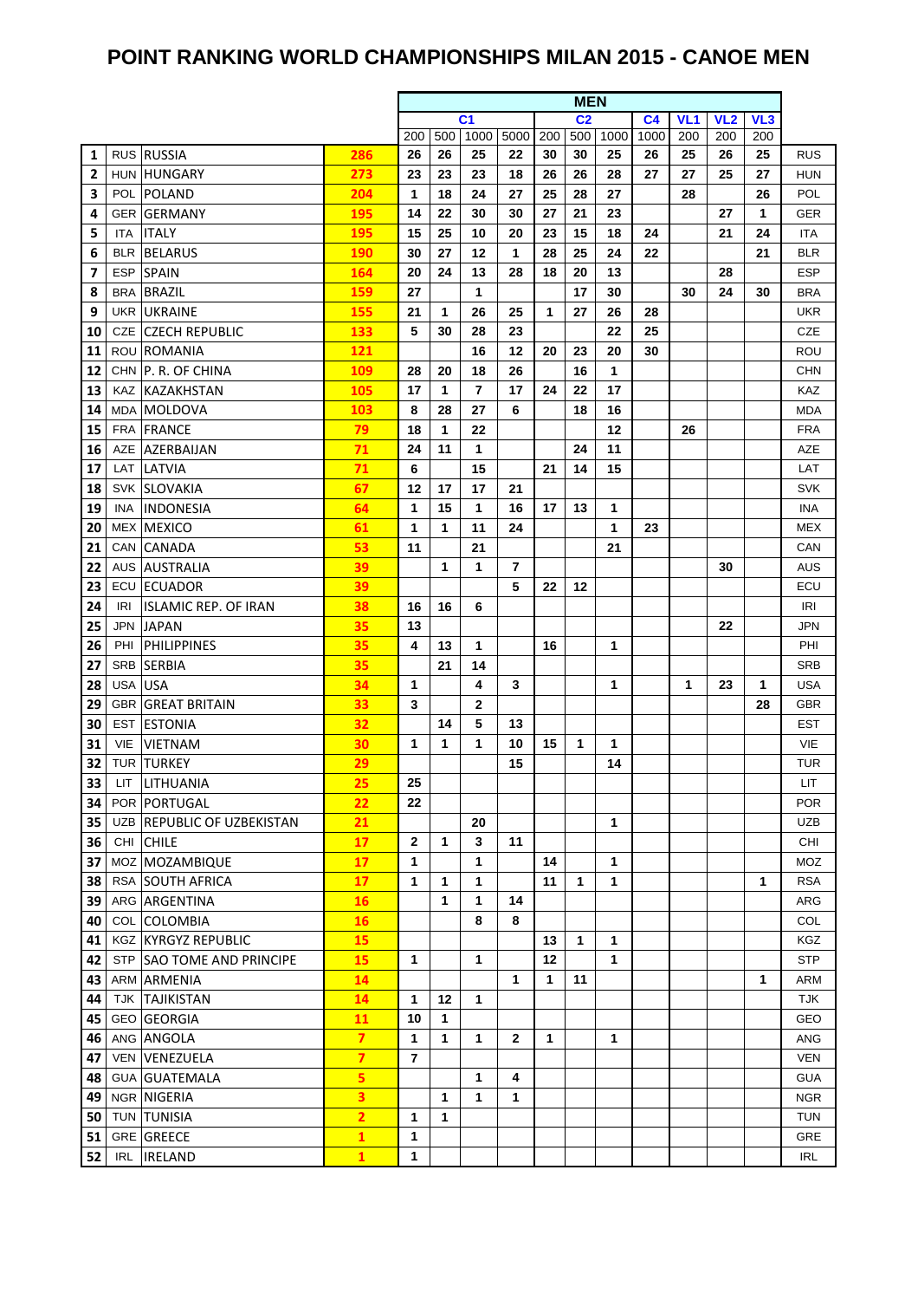### **POINT RANKING WORLD CHAMPIONSHIPS MILAN 2015 - CANOE MEN**

|              |            |                             |                | <b>MEN</b>     |     |                |                |     |                |         |                |                 |                 |     |            |  |
|--------------|------------|-----------------------------|----------------|----------------|-----|----------------|----------------|-----|----------------|---------|----------------|-----------------|-----------------|-----|------------|--|
|              |            |                             |                |                |     | C <sub>1</sub> |                |     | C <sub>2</sub> |         | C <sub>4</sub> | VL <sub>1</sub> | VL <sub>2</sub> | VL3 |            |  |
|              |            |                             |                | 200            | 500 | 1000           | 5000           | 200 | 500            | 1000    | 1000           | 200             | 200             | 200 |            |  |
| 1            |            | RUS RUSSIA                  | 286            | 26             | 26  | 25             | 22             | 30  | 30             | 25      | 26             | 25              | 26              | 25  | <b>RUS</b> |  |
| $\mathbf{2}$ | <b>HUN</b> | <b>HUNGARY</b>              | 273            | 23             | 23  | 23             | 18             | 26  | 26             | 28      | 27             | 27              | 25              | 27  | <b>HUN</b> |  |
| 3            | POL        | POLAND                      | 204            | 1              | 18  | 24             | 27             | 25  | 28             | 27      |                | 28              |                 | 26  | POL        |  |
| 4            |            | <b>GER GERMANY</b>          | 195            | 14             | 22  | 30             | 30             | 27  | 21             | 23      |                |                 | 27              | 1   | <b>GER</b> |  |
| 5            | ITA.       | <b>ITALY</b>                | 195            | 15             | 25  | 10             | 20             | 23  | 15             | 18      | 24             |                 | 21              | 24  | ITA        |  |
| 6            | BLR        | <b>BELARUS</b>              | 190            | 30             | 27  | 12             | 1              | 28  | 25             | 24      | 22             |                 |                 | 21  | <b>BLR</b> |  |
| 7            | <b>ESP</b> | <b>SPAIN</b>                | 164            | 20             | 24  | 13             | 28             | 18  | 20             | 13      |                |                 | 28              |     | <b>ESP</b> |  |
| 8            | BRA        | <b>BRAZIL</b>               | 159            | 27             |     | 1              |                |     | 17             | 30      |                | 30              | 24              | 30  | <b>BRA</b> |  |
| 9            |            | UKR UKRAINE                 | 155            | 21             | 1   | 26             | 25             | 1   | 27             | 26      | 28             |                 |                 |     | <b>UKR</b> |  |
| 10           | CZE        | <b>CZECH REPUBLIC</b>       | 133            | 5              | 30  | 28             | 23             |     |                | 22      | 25             |                 |                 |     | <b>CZE</b> |  |
| 11           | ROU        | ROMANIA                     | 121            |                |     | 16             | 12             | 20  | 23             | 20      | 30             |                 |                 |     | ROU        |  |
| 12           |            | CHN P. R. OF CHINA          | 109            | 28             | 20  | 18             | 26             |     | 16             | 1       |                |                 |                 |     | <b>CHN</b> |  |
| 13           |            | KAZ KAZAKHSTAN              | 105            | 17             | 1   | 7              | 17             | 24  | 22             | 17      |                |                 |                 |     | KAZ        |  |
| 14           | MDA        | MOLDOVA                     | 103            | 8              | 28  | 27             | 6              |     | 18             | 16      |                |                 |                 |     | <b>MDA</b> |  |
| 15           | FRA        | <b>FRANCE</b>               | 79             | 18             | 1   | 22             |                |     |                | 12      |                | 26              |                 |     | <b>FRA</b> |  |
| 16           |            | AZE AZERBAIJAN              | 71             | 24             | 11  | 1              |                |     | 24             | 11      |                |                 |                 |     | AZE        |  |
| 17           | LAT        | LATVIA                      | 71<br>67       | 6              | 17  | 15             |                | 21  | 14             | 15      |                |                 |                 |     | LAT        |  |
| 18           |            | <b>SVK SLOVAKIA</b>         |                | 12             |     | 17             | 21             |     |                |         |                |                 |                 |     | <b>SVK</b> |  |
| 19           | INA.       | <b>INDONESIA</b>            | 64             | 1              | 15  | 1              | 16             | 17  | 13             | 1       |                |                 |                 |     | <b>INA</b> |  |
| 20           | MEX        | <b>MEXICO</b>               | 61             | 1<br>11        | 1   | 11<br>21       | 24             |     |                | 1<br>21 | 23             |                 |                 |     | <b>MEX</b> |  |
| 21<br>22     | CAN        | CANADA<br>AUS AUSTRALIA     | 53<br>39       |                | 1   | 1              | $\overline{7}$ |     |                |         |                |                 | 30              |     | CAN<br>AUS |  |
| 23           | ECU        | <b>ECUADOR</b>              | 39             |                |     |                | 5              | 22  | 12             |         |                |                 |                 |     | ECU        |  |
| 24           | IRI        | <b>ISLAMIC REP. OF IRAN</b> | 38             | 16             | 16  | 6              |                |     |                |         |                |                 |                 |     | IRI        |  |
| 25           |            | JPN JAPAN                   | 35             | 13             |     |                |                |     |                |         |                |                 | 22              |     | <b>JPN</b> |  |
| 26           | PHI        | <b>PHILIPPINES</b>          | 35             | 4              | 13  | $\mathbf 1$    |                | 16  |                | 1       |                |                 |                 |     | PHI        |  |
| 27           | <b>SRB</b> | <b>SERBIA</b>               | 35             |                | 21  | 14             |                |     |                |         |                |                 |                 |     | <b>SRB</b> |  |
| 28           | USA        | <b>USA</b>                  | 34             | 1              |     | 4              | 3              |     |                | 1       |                | 1               | 23              | 1   | USA        |  |
| 29           |            | <b>GBR GREAT BRITAIN</b>    | 33             | 3              |     | 2              |                |     |                |         |                |                 |                 | 28  | <b>GBR</b> |  |
| 30           | EST        | <b>ESTONIA</b>              | 32             |                | 14  | 5              | 13             |     |                |         |                |                 |                 |     | EST        |  |
| 31           | VIE        | <b>VIETNAM</b>              | 30             | 1              | 1   | 1              | 10             | 15  | 1              | 1       |                |                 |                 |     | VIE        |  |
| 32           |            | TUR TURKEY                  | 29             |                |     |                | 15             |     |                | 14      |                |                 |                 |     | <b>TUR</b> |  |
| 33           |            | LIT LITHUANIA               | 25             | 25             |     |                |                |     |                |         |                |                 |                 |     | LIT        |  |
| 34           |            | POR   PORTUGAL              | 22             | 22             |     |                |                |     |                |         |                |                 |                 |     | <b>POR</b> |  |
| 35           |            | UZB REPUBLIC OF UZBEKISTAN  | 21             |                |     | 20             |                |     |                | 1       |                |                 |                 |     | <b>UZB</b> |  |
| 36           |            | CHI CHILE                   | 17             | $\mathbf{2}$   | 1   | 3              | 11             |     |                |         |                |                 |                 |     | CHI        |  |
| 37           |            | MOZ MOZAMBIQUE              | 17             | 1              |     | 1              |                | 14  |                | 1       |                |                 |                 |     | MOZ        |  |
| 38           |            | RSA SOUTH AFRICA            | 17             | 1              | 1   | 1              |                | 11  | 1              | 1       |                |                 |                 | 1   | <b>RSA</b> |  |
| 39           |            | ARG ARGENTINA               | 16             |                | 1   | 1              | 14             |     |                |         |                |                 |                 |     | ARG        |  |
| 40           |            | COL COLOMBIA                | <b>16</b>      |                |     | 8              | 8              |     |                |         |                |                 |                 |     | COL        |  |
| 41           |            | <b>KGZ KYRGYZ REPUBLIC</b>  | 15             |                |     |                |                | 13  | 1              | 1       |                |                 |                 |     | <b>KGZ</b> |  |
| 42           |            | STP SAO TOME AND PRINCIPE   | 15             | 1              |     | 1              |                | 12  |                | 1       |                |                 |                 |     | <b>STP</b> |  |
| 43           |            | ARM ARMENIA                 | 14             |                |     |                | 1              | 1   | 11             |         |                |                 |                 | 1   | ARM        |  |
| 44           |            | <b>TJK TAJIKISTAN</b>       | 14             | 1              | 12  | 1              |                |     |                |         |                |                 |                 |     | <b>TJK</b> |  |
| 45           |            | <b>GEO GEORGIA</b>          | 11             | 10             | 1   |                |                |     |                |         |                |                 |                 |     | <b>GEO</b> |  |
| 46           |            | ANG ANGOLA                  | $\overline{z}$ | 1              | 1   | 1              | $\mathbf{2}$   | 1   |                | 1       |                |                 |                 |     | ANG        |  |
| 47           | VEN        | VENEZUELA                   | $\overline{7}$ | $\overline{7}$ |     |                |                |     |                |         |                |                 |                 |     | <b>VEN</b> |  |
| 48           |            | <b>GUA GUATEMALA</b>        | 5              |                |     | 1              | 4              |     |                |         |                |                 |                 |     | <b>GUA</b> |  |
| 49           |            | NGR NIGERIA                 | 3              |                | 1   | 1              | 1              |     |                |         |                |                 |                 |     | <b>NGR</b> |  |
| 50           |            | TUN TUNISIA                 | $\overline{2}$ | 1              | 1   |                |                |     |                |         |                |                 |                 |     | <b>TUN</b> |  |
| 51           |            | GRE GREECE                  | 1              | 1              |     |                |                |     |                |         |                |                 |                 |     | GRE        |  |
| 52           | <b>IRL</b> | <b>IRELAND</b>              | $\mathbf{1}$   | 1              |     |                |                |     |                |         |                |                 |                 |     | <b>IRL</b> |  |